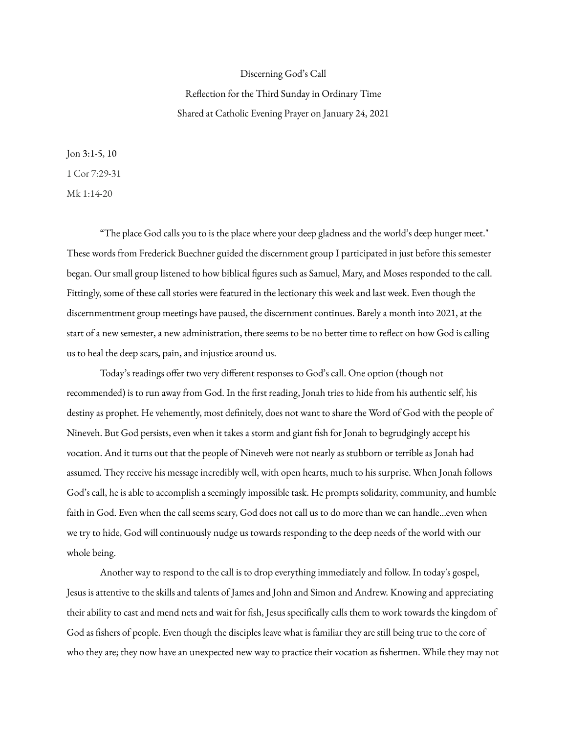Discerning God's Call Reflection for the Third Sunday in Ordinary Time Shared at Catholic Evening Prayer on January 24, 2021

Jon 3:1-5, 10 1 Cor 7:29-31

Mk 1:14-20

"The place God calls you to is the place where your deep gladness and the world's deep hunger meet." These words from Frederick Buechner guided the discernment group I participated in just before this semester began. Our small group listened to how biblical figures such as Samuel, Mary, and Moses responded to the call. Fittingly, some of these call stories were featured in the lectionary this week and last week. Even though the discernmentment group meetings have paused, the discernment continues. Barely a month into 2021, at the start of a new semester, a new administration, there seems to be no better time to reflect on how God is calling us to heal the deep scars, pain, and injustice around us.

Today's readings offer two very different responses to God's call. One option (though not recommended) is to run away from God. In the first reading, Jonah tries to hide from his authentic self, his destiny as prophet. He vehemently, most definitely, does not want to share the Word of God with the people of Nineveh. But God persists, even when it takes a storm and giant fish for Jonah to begrudgingly accept his vocation. And it turns out that the people of Nineveh were not nearly as stubborn or terrible as Jonah had assumed. They receive his message incredibly well, with open hearts, much to his surprise. When Jonah follows God's call, he is able to accomplish a seemingly impossible task. He prompts solidarity, community, and humble faith in God. Even when the call seems scary, God does not call us to do more than we can handle...even when we try to hide, God will continuously nudge us towards responding to the deep needs of the world with our whole being.

Another way to respond to the call is to drop everything immediately and follow. In today's gospel, Jesus is attentive to the skills and talents of James and John and Simon and Andrew. Knowing and appreciating their ability to cast and mend nets and wait for fish, Jesus specifically calls them to work towards the kingdom of God as fishers of people. Even though the disciples leave what is familiar they are still being true to the core of who they are; they now have an unexpected new way to practice their vocation as fishermen. While they may not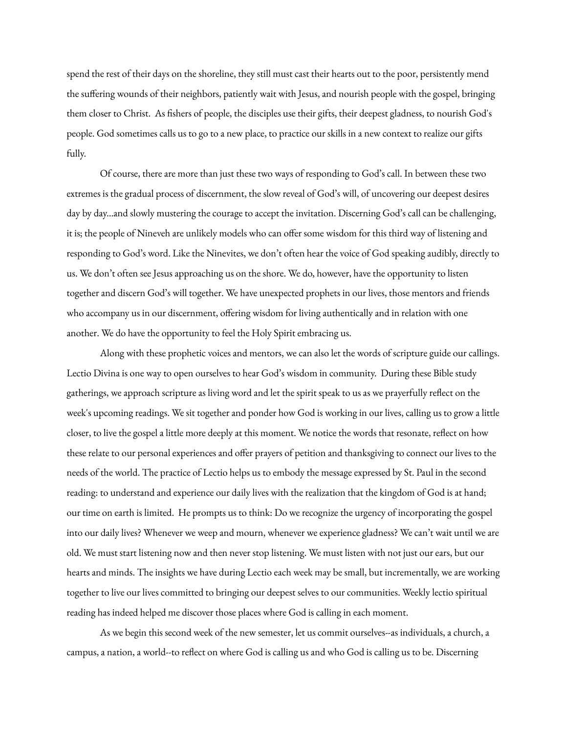spend the rest of their days on the shoreline, they still must cast their hearts out to the poor, persistently mend the suffering wounds of their neighbors, patiently wait with Jesus, and nourish people with the gospel, bringing them closer to Christ. As fishers of people, the disciples use their gifts, their deepest gladness, to nourish God's people. God sometimes calls us to go to a new place, to practice our skills in a new context to realize our gifts fully.

Of course, there are more than just these two ways of responding to God's call. In between these two extremes is the gradual process of discernment, the slow reveal of God's will, of uncovering our deepest desires day by day...and slowly mustering the courage to accept the invitation. Discerning God's call can be challenging, it is; the people of Nineveh are unlikely models who can offer some wisdom for this third way of listening and responding to God's word. Like the Ninevites, we don't often hear the voice of God speaking audibly, directly to us. We don't often see Jesus approaching us on the shore. We do, however, have the opportunity to listen together and discern God's will together. We have unexpected prophets in our lives, those mentors and friends who accompany us in our discernment, offering wisdom for living authentically and in relation with one another. We do have the opportunity to feel the Holy Spirit embracing us.

Along with these prophetic voices and mentors, we can also let the words of scripture guide our callings. Lectio Divina is one way to open ourselves to hear God's wisdom in community. During these Bible study gatherings, we approach scripture as living word and let the spirit speak to us as we prayerfully reflect on the week's upcoming readings. We sit together and ponder how God is working in our lives, calling us to grow a little closer, to live the gospel a little more deeply at this moment. We notice the words that resonate, reflect on how these relate to our personal experiences and offer prayers of petition and thanksgiving to connect our lives to the needs of the world. The practice of Lectio helps us to embody the message expressed by St. Paul in the second reading: to understand and experience our daily lives with the realization that the kingdom of God is at hand; our time on earth is limited. He prompts us to think: Do we recognize the urgency of incorporating the gospel into our daily lives? Whenever we weep and mourn, whenever we experience gladness? We can't wait until we are old. We must start listening now and then never stop listening. We must listen with not just our ears, but our hearts and minds. The insights we have during Lectio each week may be small, but incrementally, we are working together to live our lives committed to bringing our deepest selves to our communities. Weekly lectio spiritual reading has indeed helped me discover those places where God is calling in each moment.

As we begin this second week of the new semester, let us commit ourselves--as individuals, a church, a campus, a nation, a world--to reflect on where God is calling us and who God is calling us to be. Discerning